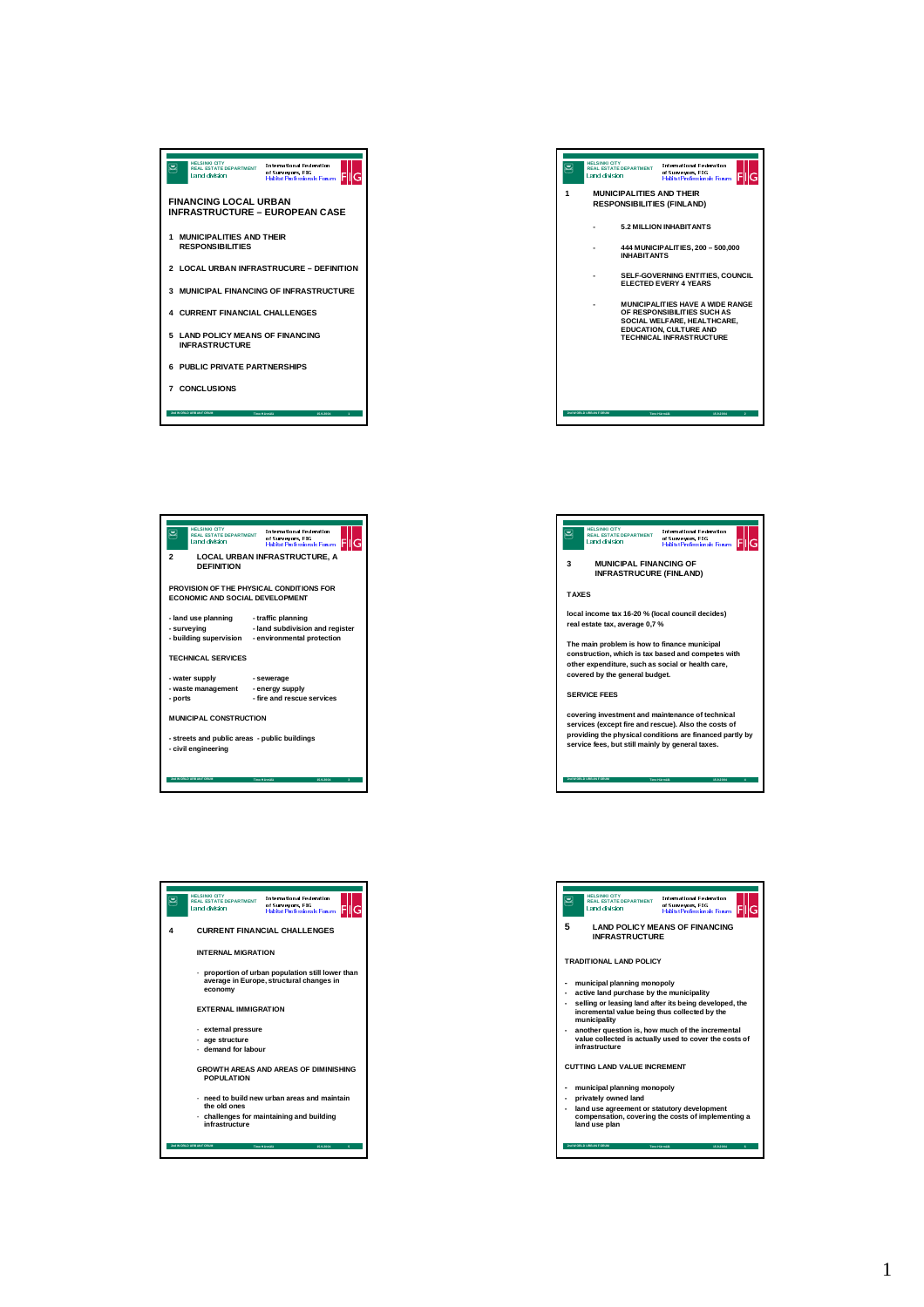